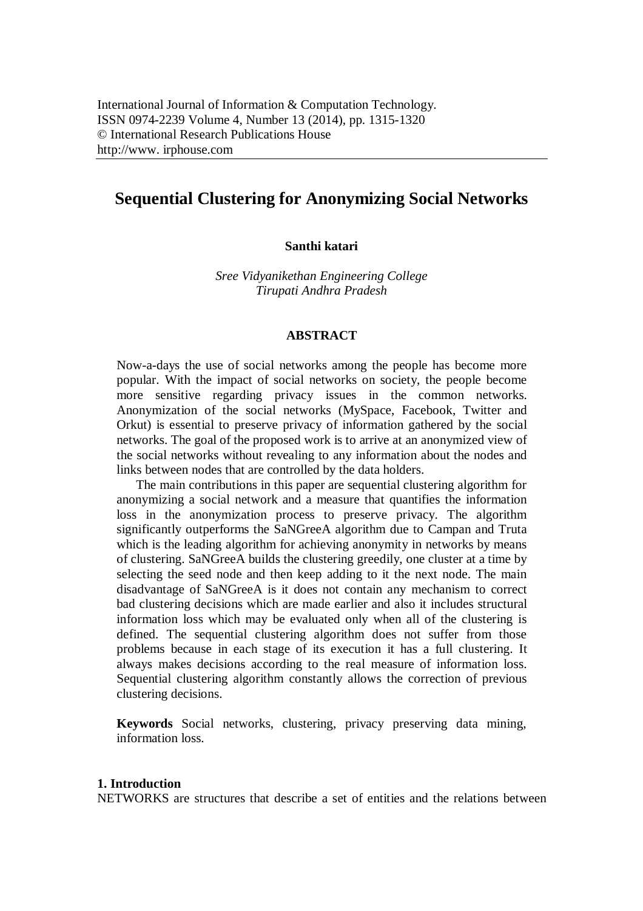# **Sequential Clustering for Anonymizing Social Networks**

### **Santhi katari**

*Sree Vidyanikethan Engineering College Tirupati Andhra Pradesh*

#### **ABSTRACT**

Now-a-days the use of social networks among the people has become more popular. With the impact of social networks on society, the people become more sensitive regarding privacy issues in the common networks. Anonymization of the social networks (MySpace, Facebook, Twitter and Orkut) is essential to preserve privacy of information gathered by the social networks. The goal of the proposed work is to arrive at an anonymized view of the social networks without revealing to any information about the nodes and links between nodes that are controlled by the data holders.

The main contributions in this paper are sequential clustering algorithm for anonymizing a social network and a measure that quantifies the information loss in the anonymization process to preserve privacy. The algorithm significantly outperforms the SaNGreeA algorithm due to Campan and Truta which is the leading algorithm for achieving anonymity in networks by means of clustering. SaNGreeA builds the clustering greedily, one cluster at a time by selecting the seed node and then keep adding to it the next node. The main disadvantage of SaNGreeA is it does not contain any mechanism to correct bad clustering decisions which are made earlier and also it includes structural information loss which may be evaluated only when all of the clustering is defined. The sequential clustering algorithm does not suffer from those problems because in each stage of its execution it has a full clustering. It always makes decisions according to the real measure of information loss. Sequential clustering algorithm constantly allows the correction of previous clustering decisions.

**Keywords** Social networks, clustering, privacy preserving data mining, information loss.

### **1. Introduction**

NETWORKS are structures that describe a set of entities and the relations between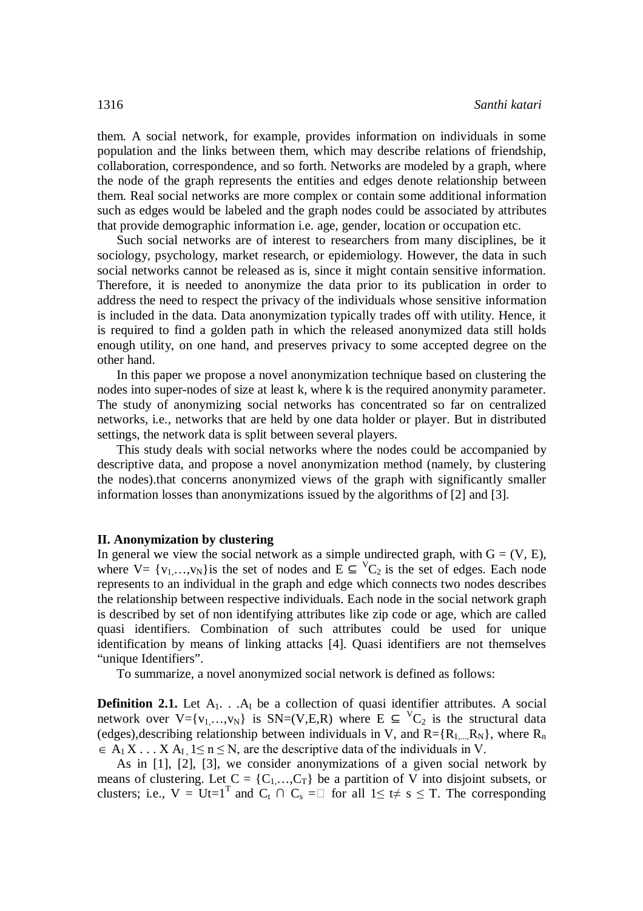them. A social network, for example, provides information on individuals in some population and the links between them, which may describe relations of friendship, collaboration, correspondence, and so forth. Networks are modeled by a graph, where the node of the graph represents the entities and edges denote relationship between them. Real social networks are more complex or contain some additional information such as edges would be labeled and the graph nodes could be associated by attributes that provide demographic information i.e. age, gender, location or occupation etc.

Such social networks are of interest to researchers from many disciplines, be it sociology, psychology, market research, or epidemiology. However, the data in such social networks cannot be released as is, since it might contain sensitive information. Therefore, it is needed to anonymize the data prior to its publication in order to address the need to respect the privacy of the individuals whose sensitive information is included in the data. Data anonymization typically trades off with utility. Hence, it is required to find a golden path in which the released anonymized data still holds enough utility, on one hand, and preserves privacy to some accepted degree on the other hand.

In this paper we propose a novel anonymization technique based on clustering the nodes into super-nodes of size at least k, where k is the required anonymity parameter. The study of anonymizing social networks has concentrated so far on centralized networks, i.e., networks that are held by one data holder or player. But in distributed settings, the network data is split between several players.

This study deals with social networks where the nodes could be accompanied by descriptive data, and propose a novel anonymization method (namely, by clustering the nodes).that concerns anonymized views of the graph with significantly smaller information losses than anonymizations issued by the algorithms of [2] and [3].

## **II. Anonymization by clustering**

In general we view the social network as a simple undirected graph, with  $G = (V, E)$ , where V= { $v_1,...,v_N$ } is the set of nodes and  $E \subseteq {}^VC_2$  is the set of edges. Each node represents to an individual in the graph and edge which connects two nodes describes the relationship between respective individuals. Each node in the social network graph is described by set of non identifying attributes like zip code or age, which are called quasi identifiers. Combination of such attributes could be used for unique identification by means of linking attacks [4]. Quasi identifiers are not themselves "unique Identifiers".

To summarize, a novel anonymized social network is defined as follows:

**Definition 2.1.** Let  $A_1$ . . . $A_i$  be a collection of quasi identifier attributes. A social network over V={ $v_1,...,v_N$ } is SN=(V,E,R) where  $E \subseteq {}^{V}C_2$  is the structural data (edges), describing relationship between individuals in V, and  $R = \{R_1, R_N\}$ , where  $R_n$  $A_1 X$ ...  $X A_1$  1  $\leq$  n  $\leq$  N, are the descriptive data of the individuals in V.

As in [1], [2], [3], we consider anonymizations of a given social network by means of clustering. Let  $C = \{C_1, ..., C_T\}$  be a partition of V into disjoint subsets, or clusters; i.e.,  $V = Ut=1^T$  and  $C_t \cap C_s = \Box$  for all  $1 \le t \ne s \le T$ . The corresponding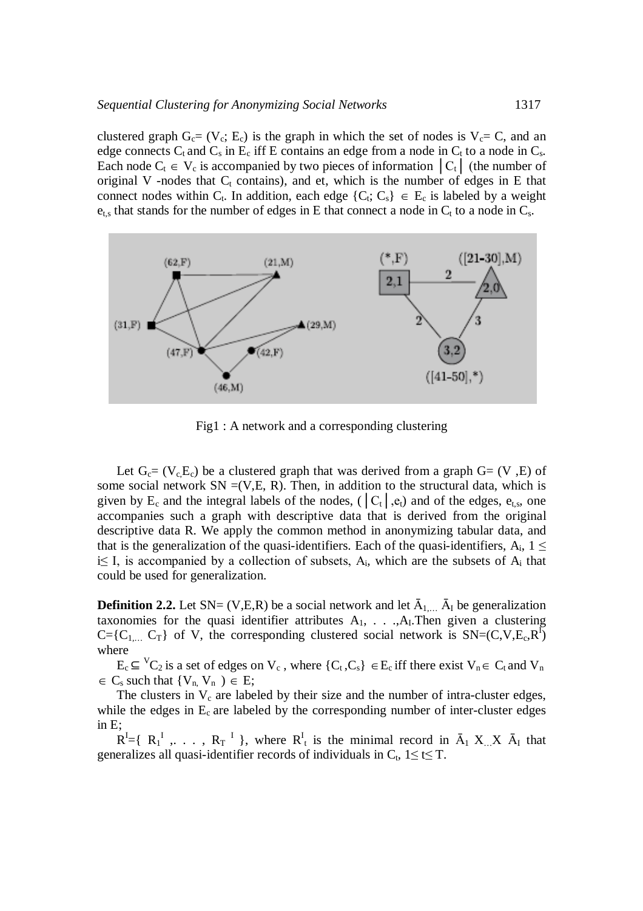clustered graph  $G_c = (V_c; E_c)$  is the graph in which the set of nodes is  $V_c = C$ , and an edge connects  $C_t$  and  $C_s$  in  $E_c$  iff E contains an edge from a node in  $C_t$  to a node in  $C_s$ . Each node  $C_t \in V_c$  is accompanied by two pieces of information  $|C_t|$  (the number of original V -nodes that  $C_t$  contains), and et, which is the number of edges in E that connect nodes within C<sub>t</sub>. In addition, each edge  $\{C_t; C_s\} \in E_c$  is labeled by a weight  $e_{t,s}$  that stands for the number of edges in E that connect a node in  $C_t$  to a node in  $C_s$ .



Fig1 : A network and a corresponding clustering

Let  $G_c = (V_c, E_c)$  be a clustered graph that was derived from a graph  $G = (V, E)$  of some social network  $SN = (V,E, R)$ . Then, in addition to the structural data, which is given by E<sub>c</sub> and the integral labels of the nodes, ( $|C_t|$ ,  $e_t$ ) and of the edges,  $e_{t,s}$ , one accompanies such a graph with descriptive data that is derived from the original descriptive data R. We apply the common method in anonymizing tabular data, and that is the generalization of the quasi-identifiers. Each of the quasi-identifiers,  $A_i$ ,  $1 \leq$ i≤ I, is accompanied by a collection of subsets,  $A_i$ , which are the subsets of  $A_i$  that could be used for generalization.

**Definition 2.2.** Let  $SN = (V,E,R)$  be a social network and let  $\bar{A}_{1,\ldots}$   $\bar{A}_{I}$  be generalization taxonomies for the quasi identifier attributes  $A_1, \ldots, A_l$ . Then given a clustering  $C = \{C_{1,...}, C_{T}\}\$  of V, the corresponding clustered social network is  $SN=(C, V, E_c, R^{T})$ where

 $E_c \subseteq {}^V C_2$  is a set of edges on  $V_c$ , where  $\{C_t, C_s\} \in E_c$  iff there exist  $V_n \in C_t$  and  $V_n$  $\in C_s$  such that  $\{V_n, V_n\} \in E;$ 

The clusters in  $V_c$  are labeled by their size and the number of intra-cluster edges, while the edges in  $E_c$  are labeled by the corresponding number of inter-cluster edges in E;

 $R^I = \{ R_1^I, \ldots, R_T^I \}$ , where  $R_t^I$  is the minimal record in  $\bar{A}_1 X \times \bar{A}_I$  that generalizes all quasi-identifier records of individuals in  $C_t$ ,  $1 \le t \le T$ .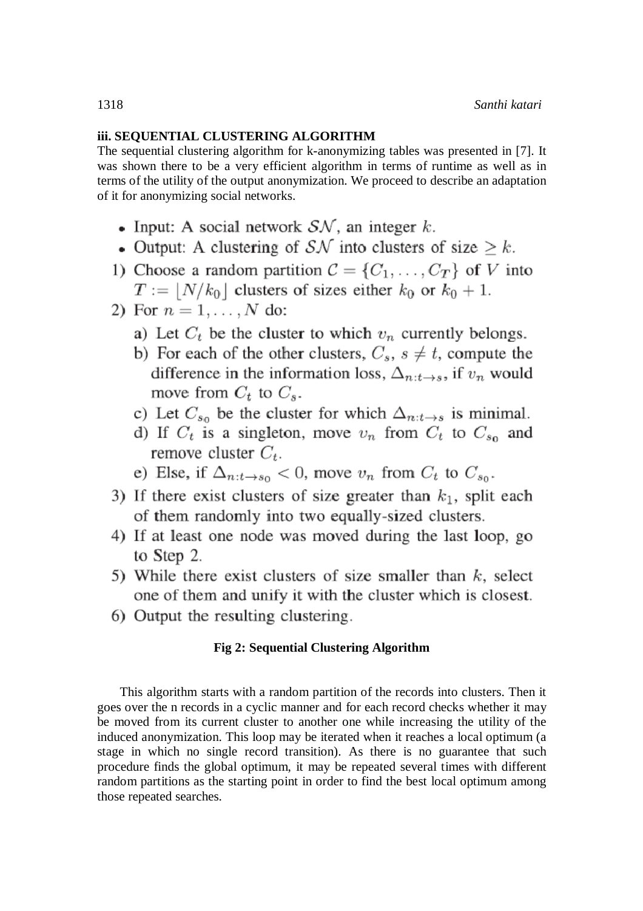# **iii. SEQUENTIAL CLUSTERING ALGORITHM**

The sequential clustering algorithm for k-anonymizing tables was presented in [7]. It was shown there to be a very efficient algorithm in terms of runtime as well as in terms of the utility of the output anonymization. We proceed to describe an adaptation of it for anonymizing social networks.

- Input: A social network  $S\mathcal{N}$ , an integer k.
- Output: A clustering of SN into clusters of size  $\geq k$ .
- 1) Choose a random partition  $C = \{C_1, \ldots, C_T\}$  of V into  $T := \lfloor N/k_0 \rfloor$  clusters of sizes either  $k_0$  or  $k_0 + 1$ .
- 2) For  $n = 1, ..., N$  do:
	- a) Let  $C_t$  be the cluster to which  $v_n$  currently belongs.
	- b) For each of the other clusters,  $C_s$ ,  $s \neq t$ , compute the difference in the information loss,  $\Delta_{n:t\rightarrow s}$ , if  $v_n$  would move from  $C_t$  to  $C_s$ .
	- c) Let  $C_{s_0}$  be the cluster for which  $\Delta_{n:t\rightarrow s}$  is minimal.
	- d) If  $C_t$  is a singleton, move  $v_n$  from  $C_t$  to  $C_{s_0}$  and remove cluster  $C_t$ .
	- e) Else, if  $\Delta_{n:t\to s_0}$  < 0, move  $v_n$  from  $C_t$  to  $C_{s_0}$ .
- 3) If there exist clusters of size greater than  $k_1$ , split each of them randomly into two equally-sized clusters.
- 4) If at least one node was moved during the last loop, go to Step 2.
- 5) While there exist clusters of size smaller than  $k$ , select one of them and unify it with the cluster which is closest.
- 6) Output the resulting clustering.

# **Fig 2: Sequential Clustering Algorithm**

This algorithm starts with a random partition of the records into clusters. Then it goes over the n records in a cyclic manner and for each record checks whether it may be moved from its current cluster to another one while increasing the utility of the induced anonymization. This loop may be iterated when it reaches a local optimum (a stage in which no single record transition). As there is no guarantee that such procedure finds the global optimum, it may be repeated several times with different random partitions as the starting point in order to find the best local optimum among those repeated searches.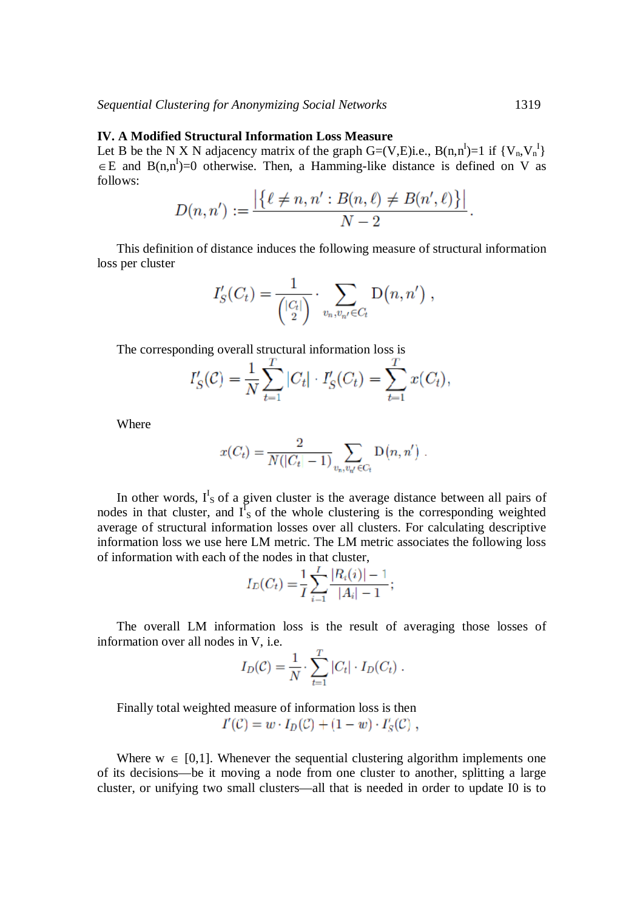#### **IV. A Modified Structural Information Loss Measure**

Let B be the N X N adjacency matrix of the graph G=(V,E)i.e.,  $B(n,n^I)=1$  if  $\{V_n, V_n^I\}$  $E \in E$  and  $B(n,n^I)=0$  otherwise. Then, a Hamming-like distance is defined on V as follows:

$$
D(n, n') := \frac{|\{\ell \neq n, n' : B(n, \ell) \neq B(n', \ell)\}|}{N - 2}.
$$

This definition of distance induces the following measure of structural information loss per cluster

$$
I'_{S}(C_t) = \frac{1}{\binom{|C_t|}{2}} \cdot \sum_{v_n, v_{n'} \in C_t} D(n, n') ,
$$

The corresponding overall structural information loss is

$$
I'_{S}(\mathcal{C}) = \frac{1}{N} \sum_{t=1}^{T} |C_t| \cdot I'_{S}(C_t) = \sum_{t=1}^{T} x(C_t),
$$

Where

$$
x(C_t) = \frac{2}{N(|C_t| - 1)} \sum_{v_n, v_{n'} \in C_t} D(n, n').
$$

In other words,  $I<sup>I</sup><sub>S</sub>$  of a given cluster is the average distance between all pairs of nodes in that cluster, and  $I_{S}^{I}$  of the whole clustering is the corresponding weighted average of structural information losses over all clusters. For calculating descriptive information loss we use here LM metric. The LM metric associates the following loss of information with each of the nodes in that cluster,

$$
I_D(C_t) = \frac{1}{I} \sum_{i=1}^{I} \frac{|R_i(i)| - 1}{|A_i| - 1};
$$

The overall LM information loss is the result of averaging those losses of information over all nodes in V, i.e.

$$
I_D(\mathcal{C}) = \frac{1}{N} \cdot \sum_{t=1}^T |C_t| \cdot I_D(C_t) .
$$

Finally total weighted measure of information loss is then  $I'(\mathcal{C}) = w \cdot I_D(\mathcal{C}) + (1 - w) \cdot I'_S(\mathcal{C})$ ,

Where  $w \in [0,1]$ . Whenever the sequential clustering algorithm implements one of its decisions—be it moving a node from one cluster to another, splitting a large cluster, or unifying two small clusters—all that is needed in order to update I0 is to